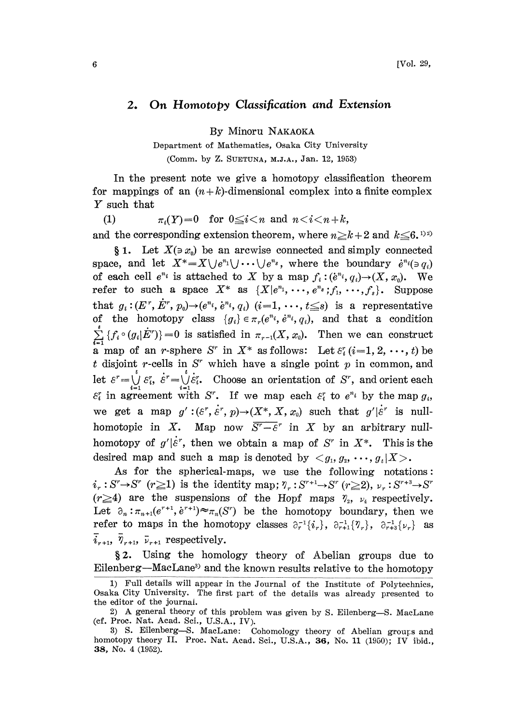## 2. On Homotopy Classification and Extension

By Minoru NAKAOKA

Department of Mathematics, Osaka City University (Comm. by Z. SUETUNA, M.J.A., Jan. 12, 1953)

In the present note we give a homotopy classification theorem for mappings of an  $(n+k)$ -dimensional complex into a finite complex Y such that

(1)  $\pi_i(Y)=0$  for  $0 \leq i < n$  and  $n < i < n + k$ , and the corresponding extension theorem, where  $n \geq k+2$  and  $k \leq 6$ .

§ 1. Let  $X(\ni x_0)$  be an arcwise connected and simply connected space, and let  $X^* = X \cup e^{n_1} \cup \cdots \cup e^{n_s}$ , where the boundary  $e^{n_i}(\ni q_i)$ of each cell  $e^{n_i}$  is attached to X by a map  $f_i:(e^{n_i}, q_i)\rightarrow (X, x_0)$ . We refer to such a space  $X^*$  as  $\{X|e^{n_1}, \dots, e^{n_s}; f_1, \dots, f_s\}$ . Suppose that  $g_i : (E^r, \dot{E}^r, p_0) \rightarrow (e^{n_i}, e^{n_i}, q_i)$   $(i=1, \dots, t \leq s)$  is a representative of the homotopy class  ${g_i} \in \pi_r(e^{n_i}, e^{n_i}, q_i)$ , and that a condition  ${f_i \circ (g_i | E^n)}=0$  is satisfied in  $\pi_{r-1}(X, x_0)$ . Then we can construct **a** map of an *r*-sphere S<sup>*r*</sup> in  $X^*$  as follows: Let  $\varepsilon_i^r$  (*i*=1, 2, ..., *t*) be t disjoint r-cells in  $S^r$  which have a single point p in common, and let  $\varepsilon^r = \bigcup_{i=1}^r \varepsilon_i^r$ ,  $\varepsilon^r = \bigcup_{i=1}^r \varepsilon_i^r$ . Choose an orientation of S<sup>r</sup>, and orient each  $\varepsilon_i^r$  in agreement with S<sup>r</sup>. If we map each  $\varepsilon_i^r$  to  $e^{n_i}$  by the map  $g_i$ , we get a map  $g' : (\varepsilon^r, \dot{\varepsilon}^r, p) \rightarrow (X^*, X, x_0)$  such that  $g' | \dot{\varepsilon}^r$  is nullhomotopic in X. Map now  $\overline{S^r - \varepsilon^r}$  in X by an arbitrary nullhomotopy of  $g'|\dot{\varepsilon}^r$ , then we obtain a map of  $S^r$  in  $X^*$ . This is the desired map and such a map is denoted by  $\langle g_1, g_2, \dots, g_k | X \rangle$ .

As for the spherical-maps, we use the following notations:  $i_r : S^r \rightarrow S^r$  ( $r \ge 1$ ) is the identity map;  $\gamma_r : S^{r+1} \rightarrow S^r$  ( $r \ge 2$ ),  $\nu_r : S^{r+3} \rightarrow S$ <br>( $r \ge 4$ ) are the suspensions of the Hopf maps  $\gamma_2$ ,  $\nu_4$  respectively  $(r \geq 4)$  are the suspensions of the Hopf maps  $\gamma_2$ ,  $\nu_4$  respectively. Let  $\partial_n : \pi_{n+1}(e^{r+1}, e^{r+1}) \approx \pi_n(S^r)$  be the homotopy boundary, then we refer to maps in the homotopy classes  $\partial_r^{-1}\{i_r\}$ ,  $\partial_{r+1}^{-1}\{\mathcal{V}_r\}$ ,  $\partial_{r+3}^{-1}\{\nu_r\}$  as  $\bar{i}_{r+1}$ ,  $\bar{\gamma}_{r+1}$ ,  $\bar{\nu}_{r+1}$  respectively.

2. Using the homology theory of Abelian groups due to Eilenberg—MacLane<sup>3</sup> and the known results relative to the homotopy

<sup>1)</sup> Full details will appear in the Journal of the Institute of Polytechnics, Osaka City University. The first part of the details was already presented to the editor of the journal.

<sup>2)</sup> A general theory of this problem was given by S. Eilenberg--S. MacLane (cf. Proc. Nat. Acad. Sci., U.S.A., IV).

<sup>3)</sup> S. Eilenberg-S. MacLane: Cohomology theory of Abelian groups and homotopy theory II. Proc. Nat. Acad. Sci., U.S.A., 36, No. 11 (1950); IV ibid., 38, No. 4 (1952).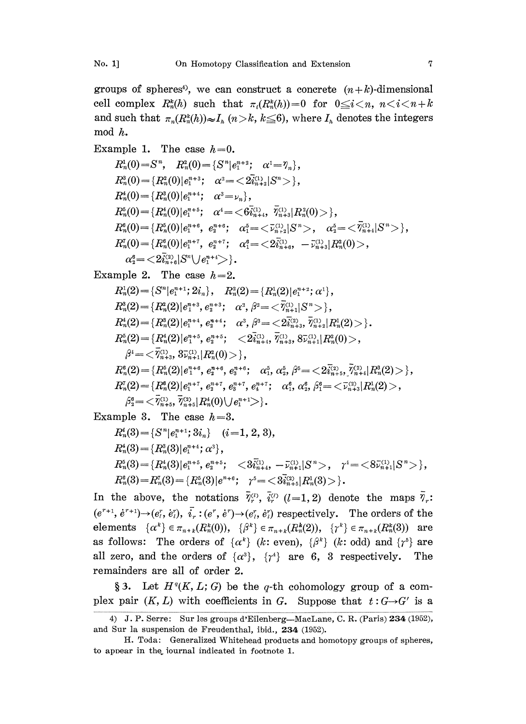groups of spheres<sup>4</sup>, we can construct a concrete  $(n+k)$ -dimensional cell complex  $R_n^k(h)$  such that  $\pi_i(R_n^k(h))=0$  for  $0 \le i \le n$ ,  $n \le i \le n+k$ and such that  $\pi_n(R_n^k(h)) \approx I_n$   $(n > k, k \leq 6)$ , where  $I_n$  denotes the integers mod h.

Example 1. The case  $h=0$ .  $R_n^1(0) = S^n$ ,  $R_n^2(0) = \{S^n | e_1^{n+2}; \alpha^1 = \gamma_n\},$  $R_n^3(0) = \{R_n^2(0)|e_1^{n+3}; \alpha^2 = \langle 2\overline{i}_n^{(1)}, |S^n\rangle\}.$  $R_n^4(0) = \{R_n^3(0) | e_1^{n+4}; \alpha^3 = \nu_n \},$  $R_n^5(0) = \{R_n^4(0)|e_1^{n+5};\quad \alpha^4=<6\bar{i}_{n+4}^{(1)},\quad \bar{\eta}_{n+3}^{(1)}|R_n^2(0)>\},$  $R_n^{\scriptscriptstyle\mathfrak{g}}(0){=}\left\{R_n^{\scriptscriptstyle\mathfrak{g}}(0)|e_i^{\scriptscriptstyle n+6},\hspace{0.1cm} e_i^{\scriptscriptstyle n+6};\hspace{0.3cm}\alpha_1^{\scriptscriptstyle 5}{=}{<}\bar{\nu}_{n+2}^{\scriptscriptstyle(1)}|S^n{>}\right\},\hspace{0.1cm} \alpha_2^{\scriptscriptstyle 5}{=}{<}\bar{\nu}_{n+4}^{\scriptscriptstyle(1)}|S^n{>} \right\},$  $R_n^7(0) = \{R_n^6(0)|e_1^{n+7}, e_2^{n+7}; \alpha_1^6 = \langle 2\bar{i}_{n+6}^{(1)}, -\bar{i}_{n+3}^{(1)}|R_n^2(0)\rangle,$  $\alpha_{2}^{6}=<\!\!2\tilde{i}_{n+6}^{(2)}|S^{n}\setminus\{e_{1}^{n+4}\rangle\}.$ 

Example 2. The case  $h=2$ .

 $R_n^1(2) = \{S^n | e_1^{n+1}; 2i_n\}, \quad R_n^2(2) = \{R_n^1(2) | e_1^{n+2}; \alpha^1\},$  $\begin{split} &R^3_n(2)\!=\!\{R^2_n(2)|e_1^{n+3},e_2^{n+3};\quad\alpha^2,\,\beta^2\!=\!<\!\overline{\tilde{\eta}}_{n+1}^{(1)}|S^n\!>\},\ &R^4_n(2)\!=\!\{R^3_n(2)|e_1^{n+4},e_2^{n+4};\quad\alpha^3,\,\beta^3\!=\!<\!2\overline{\tilde{u}}_{n+3}^{(2)},\,\overline{\tilde{\eta}}_{n+2}^{(1)}|R^1_n(2)\}\ &R^5_n(2)\!=\!\{R^4_n(2)|e_1^{n+5},e_2^{n+5};\quad\!<$  $R_n^3(2) = \{R_n^2(2)|e_n^{n+3}, e_n^{n+3}: \alpha^2, \beta^2 = \overline{\gamma}_n^{(1)}, |S^n\rangle\},$  $\begin{split} &R_{n}^{4}(2)\!=\!\{R_{n}^{3}(2)|e_{1}^{n+4},e_{2}^{n+4};\quad\alpha^{3},\beta^{3}\!=\!<\!2\tilde{i}_{n+3}^{(2)},\bar{\eta}_{n+2}^{(1)}|R_{n}^{1}(2)\!>\!\}\,. \end{split}$  $\beta^4 = \langle \bar{\gamma}^{(1)}_{n+3}, 3 \bar{\nu}^{(1)}_{n+1} | R_n^2(0) \rangle \},$  $\begin{split} R_n^{\mathfrak{s}}(2)\!=\!\{R_n^{\mathfrak{s}}(2)|e_1^{n_{\mathfrak{s}}},e_2^{n_{\mathfrak{s}}+\mathfrak{s}},\,e_3^{n_{\mathfrak{s}}+\mathfrak{s}}; \quad &\alpha_1^{\mathfrak{s}},\, \alpha_2^{\mathfrak{s}},\, \beta^{\mathfrak{s}}\!=\!<\!2\bar{i}_{n_{\mathfrak{s}}+5}^{(2)},\, \bar{\gamma}_{n_{\mathfrak{s}}+4}^{(2)}|R_n^{\mathfrak{s}}(2)\!>\!\}\,, \end{split}$  $R_n^7(2) = \{R_n^6(2)|e_1^{n+7}, e_2^{n+7}, e_3^{n+7}, e_4^{n+7}; \alpha_1^6, \alpha_2^6, \beta_1^6 = \langle \overline{\nu}_{n+3}^{(2)} | R_n^1(2) \rangle,$  $\left\{\beta_2^6 = \langle \overline{\gamma}_{n+5}^{(1)}, \overline{\gamma}_{n+5}^{(2)} | R_n^4(0) \rangle \right\} e^{n+1} \rangle.$ 

Example 3. The case  $h=3$ .

$$
\begin{aligned} R_n^*(3) & = \{S^n|e_i^{n+1};3i_n\} \quad (i\!=\!1,2,3), \\ R_n^*(3) & = \{R_n^3(3)|e_i^{n+i};\alpha^3\}, \\ R_n^5(3) & = \{R_n^4(3)|e_i^{n+5},e_i^{n+5};\quad <\! 3\bar{i}_{n+4}^{(1)},-\bar{\nu}_{n+1}^{(1)}|S^n\!>,\quad \gamma^4\!=\!<\!8\bar{\nu}_{n+1}^{(1)}|S^n\!>\}, \\ R_n^6(3) & = R_n^7(3) \!=\! \{R_n^5(3)|e^{n+6};\quad \gamma^5\!=\!<\!3\bar{i}_{n+5}^{(2)}|R_n^1(3)\!>\}. \end{aligned}
$$

In the above, the notations  $\bar{\gamma}_r^{(l)}$ ,  $\bar{i}_r^{(l)}$  (*l*=1,2) denote the maps  $(e^{r+1}, e^{r+1}) \rightarrow (e_i^r, e_i^r), \bar{i}_r : (e^r, e^r) \rightarrow (e_i^r, e_i^r)$  respectively. The orders of the elements  $\{\alpha^k\} \in \pi_{n+k}(R_n^k(0)), \{\beta^k\} \in \pi_{n+k}(R_n^k(2)), \{\gamma^k\} \in \pi_{n+k}(R_n^k(3))$  are as follows: The orders of  $\{\alpha^k\}$  (k: even),  $\{\beta^k\}$  (k: odd) and  $\{\gamma^5\}$  are all zero, and the orders of  $\{\alpha^3\}$ ,  $\{\gamma^4\}$  are 6, 3 respectively. The remainders are all of order 2.

§3. Let  $H<sup>q</sup>(K, L; G)$  be the q-th cohomology group of a complex pair  $(K, L)$  with coefficients in G. Suppose that  $t: G \rightarrow G'$  is a

<sup>4)</sup> J. P. Serre: Sur les groups d'Eilenberg--MacLane, C. R. (Paris) 234 (1952), and Sur la suspension de Freudenthal, ibid., 234 (1952).

H. Toda: Generalized Whitehead products and homotopy groups of spheres, to appear in the.iournal indicated in footnote 1.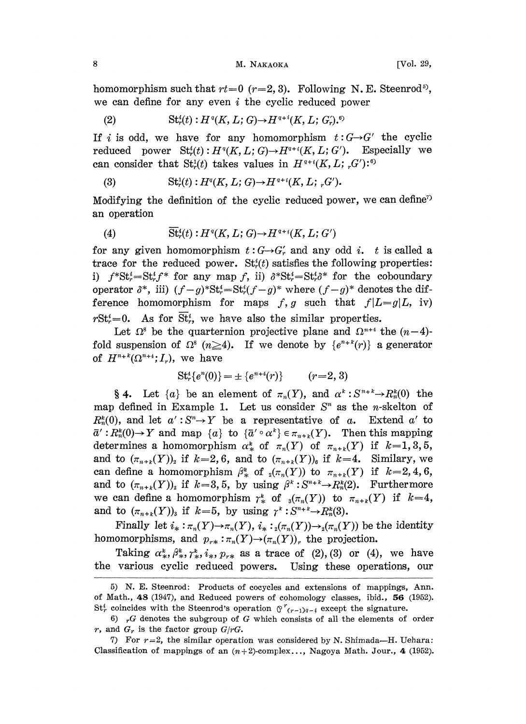## 8 M. NAKAOKA [Vol. 29,

homomorphism such that  $rt=0$   $(r=2, 3)$ . Following N.E. Steenrod<sup>5</sup>, we can define for any even  $i$  the cyclic reduced power

(2) 
$$
\mathrm{St}_r^i(t): H^{\mathfrak{q}}(K, L; G) \to H^{\mathfrak{q}+i}(K, L; G_r) .^{\mathfrak{q}}
$$

If i is odd, we have for any homomorphism  $t:G\rightarrow G'$  the cyclic reduced power  $\operatorname{St}_r^i(t): H^q(K, L; G) \to H^{q+i}(K, L; G')$ . Especially we can consider that  $St_r^1(t)$  takes values in  $H^{q+i}(K,L; G')$ .<sup>6)</sup>

(3) 
$$
\mathrm{St}_r^1(t): H^q(K, L; G) \to H^{q+i}(K, L; {}_r G').
$$

Modifying the definition of the cyclic reduced power, we can define<sup>7</sup> an operation

(4) 
$$
\overline{\mathrm{St}}_r^i(t): H^q(K, L; G) \to H^{q+i}(K, L; G')
$$

for any given homomorphism  $t: G \rightarrow G'_r$  and any odd i. t is called a trace for the reduced power.  $St<sub>r</sub><sup>i</sup>(t)$  satisfies the following properties: i)  $f^*St^*_r = St^*_r f^*$  for any map f, ii)  $\delta^*St^*_r = St^*_r \delta^*$  for the coboundary operator  $\delta^*$ , iii)  $(f-g)^* \text{St}_r^i = \text{St}_r^i (f-g)^*$  where  $(f-g)^*$  denotes the difference homomorphism for maps f, g such that  $f|L=g|L$ , iv)  $rSt_r^i=0$ . As for  $\overline{St}_r^i$ , we have also the similar properties.

Let  $\Omega^s$  be the quarternion projective plane and  $\Omega^{n+4}$  the  $(n-4)$ fold suspension of  $\Omega^s$  ( $n \geq 4$ ). If we denote by  $\{e^{n+k}(r)\}\$  a generator of  $H^{n+k}(\Omega^{n+4};I_r)$ , we have

$$
St4r{en(0)} = \pm {en+4(r)}
$$
 (r=2, 3)

§ 4. Let  $\{a\}$  be an element of  $\pi_n(Y)$ , and  $\alpha^k: S^{n+k} \to R_n^k(0)$  the map defined in Example 1. Let us consider  $S<sup>n</sup>$  as the *n*-skelton of  $R_n^k(0)$ , and let  $\alpha': S^n \to Y$  be a representative of a. Extend  $\alpha'$  to  $\bar{a}': R_n^k(0) \to Y$  and map  $\{a\}$  to  $\{\bar{a}' \circ \alpha^k\} \in \pi_{n+k}(Y)$ . Then this mapping determines a homomorphism  $\alpha^k_{*}$  of  $\pi_n(Y)$  of  $\pi_{n+k}(Y)$  if  $k=1,3,5,$ and to  $(\pi_{n+k}(Y))_2$  if  $k=2, 6$ , and to  $(\pi_{n+k}(Y))_6$  if  $k=4$ . Similary, we can define a homomorphism  $\beta^k_{*}$  of  $_2(\pi_n(Y))$  to  $\pi_{n+k}(Y)$  if  $k=2, 4, 6$ , and to  $(\pi_{n+k}(Y))_2$  if  $k=3, 5$ , by using  $\beta^k : S^{n+k} \to R_n^k(2)$ . Furthermore we can define a homomorphism  $\gamma^k$  of  $_{3}(\pi_n(Y))$  to  $\pi_{n+k}(Y)$  if  $k=4$ , and to  $(\pi_{n+k}(Y))_3$  if  $k=5$ , by using  $\gamma^k : S^{n+k} \to R_n^k(3)$ .

Finally let  $i_*: \pi_n(Y) \to \pi_n(Y)$ ,  $i_*:_{2}(\pi_n(Y)) \to_{2}(\pi_n(Y))$  be the identity homomorphisms, and  $p_{r*}: \pi_n(Y) \to (\pi_n(Y))_r$  the projection.

Taking  $\alpha^k_*, \beta^k_*, \gamma^k_*, i_*, p_{r*}$  as a trace of (2), (3) or (4), we have the various cyclic reduced powers. Using these operations, our

<sup>5)</sup> N. E. Steenrod: Products of cocycles and extensions of mappings, Ann. of Math., 48 (1947), and Reduced powers of cohomology classes, ibid.,  $56$  (1952).  $St_r^i$  coincides with the Steenrod's operation  $\int_0^r (r-1)q-i$  except the signature.

<sup>6)</sup>  $rG$  denotes the subgroup of G which consists of all the elements of order r, and  $G_r$  is the factor group  $G/rG$ .

<sup>7)</sup> For  $r=2$ , the similar operation was considered by N. Shimada-H. Uehara: Classification of mappings of an  $(n+2)$ -complex..., Nagoya Math. Jour., 4 (1952).